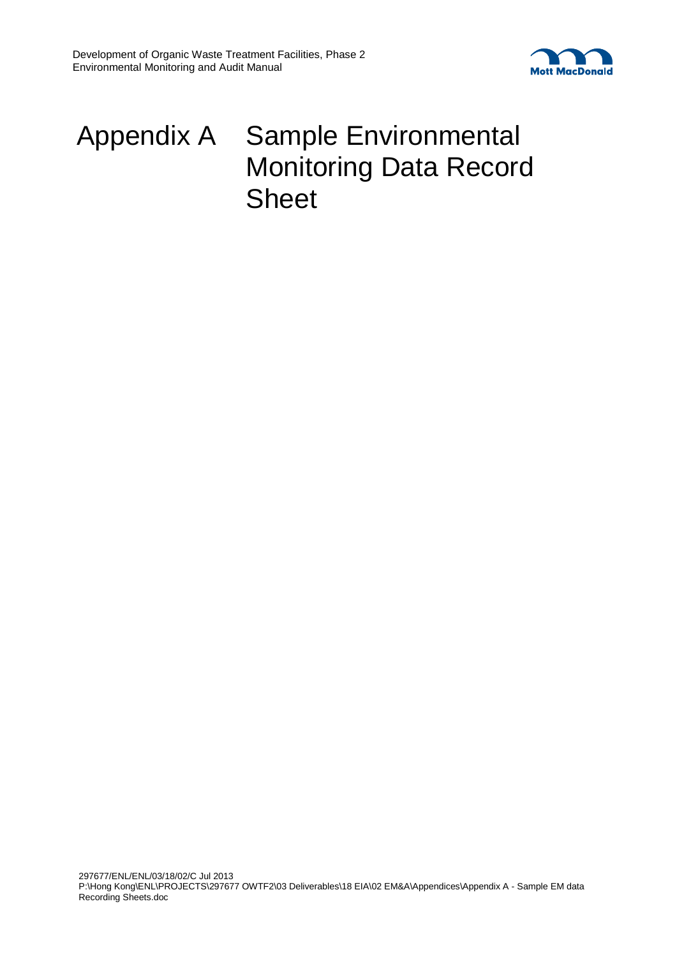



## Appendix A Sample Environmental Monitoring Data Record **Sheet**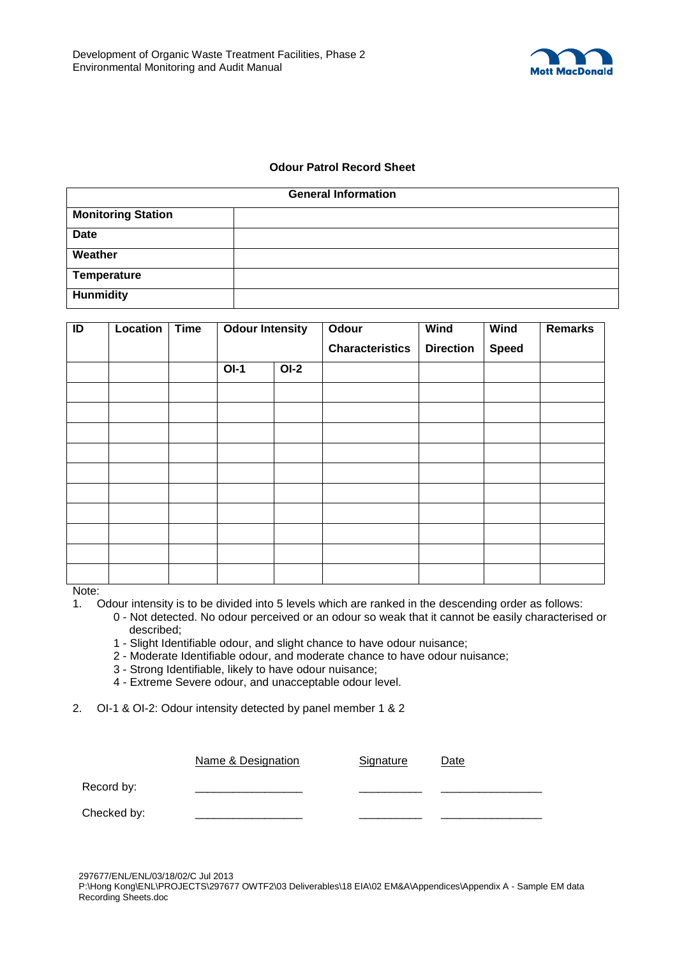

## **Odour Patrol Record Sheet**

| <b>General Information</b> |  |  |  |  |
|----------------------------|--|--|--|--|
| <b>Monitoring Station</b>  |  |  |  |  |
| <b>Date</b>                |  |  |  |  |
| Weather                    |  |  |  |  |
| Temperature                |  |  |  |  |
| <b>Hunmidity</b>           |  |  |  |  |

| ID | Location | <b>Time</b> | <b>Odour Intensity</b> |        | Odour                  | <b>Wind</b>      | <b>Wind</b>  | <b>Remarks</b> |
|----|----------|-------------|------------------------|--------|------------------------|------------------|--------------|----------------|
|    |          |             |                        |        | <b>Characteristics</b> | <b>Direction</b> | <b>Speed</b> |                |
|    |          |             | $OI-1$                 | $OI-2$ |                        |                  |              |                |
|    |          |             |                        |        |                        |                  |              |                |
|    |          |             |                        |        |                        |                  |              |                |
|    |          |             |                        |        |                        |                  |              |                |
|    |          |             |                        |        |                        |                  |              |                |
|    |          |             |                        |        |                        |                  |              |                |
|    |          |             |                        |        |                        |                  |              |                |
|    |          |             |                        |        |                        |                  |              |                |
|    |          |             |                        |        |                        |                  |              |                |
|    |          |             |                        |        |                        |                  |              |                |
|    |          |             |                        |        |                        |                  |              |                |

Note:

- 1. Odour intensity is to be divided into 5 levels which are ranked in the descending order as follows:
	- 0 Not detected. No odour perceived or an odour so weak that it cannot be easily characterised or described;
	- 1 Slight Identifiable odour, and slight chance to have odour nuisance;
	- 2 Moderate Identifiable odour, and moderate chance to have odour nuisance;
	- 3 Strong Identifiable, likely to have odour nuisance;
	- 4 Extreme Severe odour, and unacceptable odour level.
- 2. OI-1 & OI-2: Odour intensity detected by panel member 1 & 2

|             | Name & Designation | Signature | Date |
|-------------|--------------------|-----------|------|
| Record by:  |                    |           |      |
| Checked by: |                    |           |      |

297677/ENL/ENL/03/18/02/C Jul 2013

P:\Hong Kong\ENL\PROJECTS\297677 OWTF2\03 Deliverables\18 EIA\02 EM&A\Appendices\Appendix A - Sample EM data Recording Sheets.doc